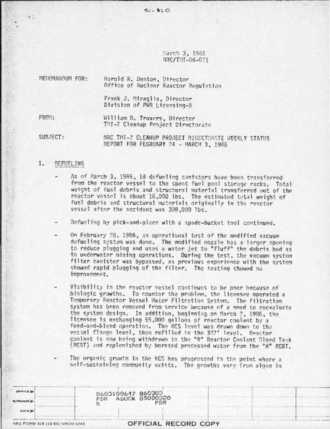$50 - 320$ 

Harch 3, 1986 NRC/TNI-86-021

| Harold R. Denton, Director<br>Office of Nuclear Reactor Regulation |
|--------------------------------------------------------------------|
| Frank J. Miraglia, Director<br>Division of PWR Licensing-B         |
| William D. Travers, Director<br>TMI-2 Cleanup Project Directorate  |
|                                                                    |

SUBJECT: NRC THI-2 CLEANUP PROJECT DIRECTORATE WEEKLY STATUS REPORT FOR FEBRUARY 24 - MARCH 3, 1986

## 1. **DEFUELING**

- As of March 3, 1986, 18 defueling canisters have been transferred from the reactor vessel to the spent fuel pool storage racks. Total weight of fuel debris and structural material transferred out of the reactor vessel is about 16,000 lbs. The estimated total weight of<br>fuel debris and structural materials originally in the reactor vessel after the accident was 308,000 lbs.
- Defueling by pick-and-place with a spade-bucket tool continued.
- On February 28, 1986, an operational test of the modified vacuum defueling system was done. The modified nozzle has a larger opening to reduce plugging and uses a water jet to "fluff" the debris bed as in underwater mining operations. During the test, the vacuum system filter canister was bypassed, as previous experience with the system showed rapid plugging of the filter. The testing showed no improvement.
- Visibility in the reactor vessel continues to be poor because of biologic growths. To counter the problem, the licensee operated a Temporary Reactor Vessel Water Filtration System. The filtration system has been removed from service because of a need to reevaluate the system design. In addition, beginning on March 2, 1986, the licensee is exchanging 55,000 gallons of reactor coolant by a feed-and-bleed operation. The RCS level was drawn down to the vessel flange level, then refilled to the 327' level. Reactor coolant is now being withdrawn to the "B" Reactor Coolant Bleed Tank (RCBT) and replenished by borated processed water from the "A" RCBT.

The organic growth in the RCS has progressed to the point where a self-sustaining community exists. The growths vary from algae in

| OFFICE D<br><b>SURNAME</b><br>DATE D |                                | 8603100647 860303<br>ADOCK 05000320<br>PDR<br>PDR |                      |
|--------------------------------------|--------------------------------|---------------------------------------------------|----------------------|
|                                      | NRC FORM 318 (10-80) NRCM 0240 |                                                   | OFFICIAL RECORD COPY |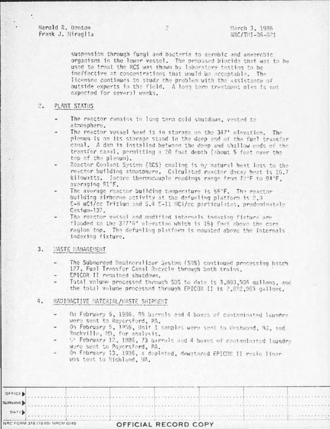Harold R. Denton Frank J. Miraglia

suspension through fungi and bacteria to aerobic and anaerobic organisms in the lower vessel. The proposed biocide that was to be used to treat the RCS was shown by laboratory testing to be ineffective at concentrations that would be acceptable. The licensee continues to study the problem with the assistance of outside experts in the field. A long term treatment plan is not expected for several weeks.

### $2.1$ PLANT STATUS

- The reactor remains in long term cold shutdown, vented to atmosphere.
- The reactor vessel head is in storage on the 347' elevation. The plenum is on its storage stand in the deep end of the fuel transfer canal. A dam is installed between the deep and shallow ends of the transfer canal, permitting a 20 foot depth (about 5 feet over the top of the plenum).
- Reactor Coolant System (RCS) cooling is by natural heat loss to the reactor building atmosphere. Calculated reactor decay heat is 10.7 kilowatts. Incore thermocouple readings range from 72°F to 94°F. averaging 81°F.
- The average reactor building temperature is 55°F. The reactor building airborne activity at the defueling platform is 2.3 E-8 uCi/cc Tritium and 5.4 E-11 UCi/cc particulates, predominately Cesium-137.
- The reactor vessel and modified internals indexion fixture are flooded to the 327'6" elevation which is 15} feet above the core region top. The defueling platform is mounted above the internais indexing fixture.

#### $3.$ *MASTE MANAGEMENT*

- The Submerged Demineralizer System (SDS) continued processing batch 127, Fuel Transfer Canal Recycle through both trains.
- EPICOR II remained shutdown.
- Total volume processed through SDS to date is 3,800,906 gallons, and the total volume processed through EPICOR II is 2,822,963 gallons.

## RADIOACTIVE MATERIAL/MASTE SHIPMENT 4.

- On Fabruary 5, 1986. 85 barrels and 4 boxes of contaminated laundry were sent to Royersford, PA.
- On February 5, 1956, Unit 1 samples were sent to Westwood. MJ, and Rockville, MD, for analysis.
- 5" February 12, 1985, 73 barrels and 4 boxes of contaminated laundry Were sent to Poyersford, PA.
- On Fabruary 13, 1986, a deploted, dewatered EPICOR II resin liner was sent to Richland, WA.

|      | OFFICE )                       |  |                      |  |  |  |
|------|--------------------------------|--|----------------------|--|--|--|
|      |                                |  |                      |  |  |  |
| DATE |                                |  |                      |  |  |  |
|      | NRC FORM 318 (10 80) NRCM 0240 |  | OFFICIAL RECORD COPY |  |  |  |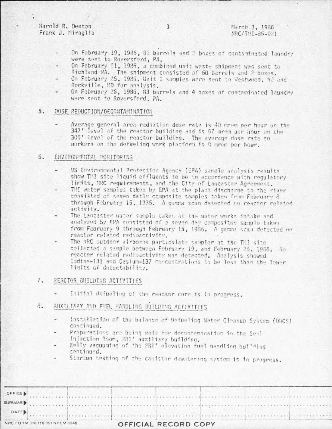Harold R. Denton Frank J. Miraolia

- On Fabruary 19, 1986, 82 barrels and 2 boxes of contaminated laundry were sent to Roversford, PA.
- On February 21, 1986, a combined unit waste shippent was sent to Richland WA. The shipment consisted of 60 barrels and 2 boxes.
- On February 25, 1986, Unit 1 samples were sent to Westwood, NJ and Rockville, MD for analysis.
- On February 26, 1986, 83 barrels and 4 boxes of contaminated laundry were sent to Roversford, PA.

## $5.$ DOSE REDUCTION/DECONTAMINATION

Average general area radiation dose rate is 40 mrem per hour on the 347' level of the reactor building and is 67 mrom per hour on the 305' level of the reactor building. The average dose rate to workers on the defueling work platform is 8 greg per hour.

### 5. ENVIRONMENTAL MONITORING

- US Environmental Protection Agency (EPA) sample analysis results show TMI site liquid effluents to be in accordance with regulatory limits, NRC requirements, and the City of Lancaster Agreement.
- THI water samples taken by EPA at the plant discharge to the river consisted of seven daily composite samples taken from February 8 through February 15, 1935. A gamma scan detected no reactor related activity.
- The Lancaster water sample taken at the water works intake and analyzed by EPA consisted of a seven day composited sample taken from February 9 through February 15, 1986. A germa scan detected no reactor related radioactivity.
- The NRC outdoor airborne particulate sampler at the THI site collected a sample between February 19, and February 25, 1986. No reactor related radioactivity was detected. Analysis showed Indine-131 and Cesium-137 concentrations to be less than the lower limits of detectability.

#### $7.$ REACTOR BUILDING ACTIVITIES

- Initial defueling of the reactor core is in progress.
- 8. AUXILIARY AND FUEL HANDLING BUILDING ACTIVITIES
	- Installation of the balance of Defueling Water Cleanup System (DWCS) continued.
	- Preparations are being made for decontamination in the Seal Injection Room, 281' auxiliary building.
	- Kelly vacuuming of the 281' elevation fuel nandling building continued.
	- Startup testing of the canister dewatering system is in progress.

|      | NRC FORM 318 (10.80) NRCM 0240                                                                                                                                                                                                |  | OFFICIAL RECORD COPY |  |  |  |  |  |  |  |
|------|-------------------------------------------------------------------------------------------------------------------------------------------------------------------------------------------------------------------------------|--|----------------------|--|--|--|--|--|--|--|
| DATE |                                                                                                                                                                                                                               |  |                      |  |  |  |  |  |  |  |
|      | SURVAME)                                                                                                                                                                                                                      |  |                      |  |  |  |  |  |  |  |
|      | OFFICED And a contract of the contract of the contract of the contract of the contract of the contract of the contract of the contract of the contract of the contract of the contract of the contract of the contract of the |  |                      |  |  |  |  |  |  |  |

3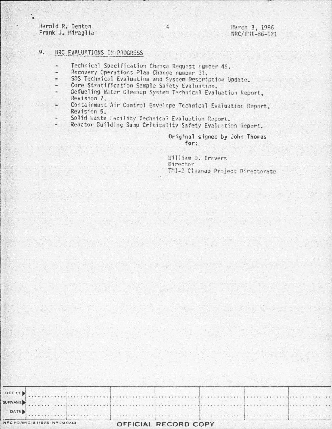## Harold R. Denton Frank J. Miraglia

## March 3, 1986 NRC/TNI-86-021

## $9.$ NRC EVALUATIONS IN PROGRESS

- Technical Specification Change Request number 49.
- Recovery Operations Plan Change number 31.
- SDS Technical Evaluation and System Description Update. ÷.
- Core Stratification Sample Safety Evaluation.
- Defueling Water Cleanup System Technical Evaluation Report. ۷ Revision 7.
- Containment Air Control Envelope Technical Evaluation Report. Revision 5.
- Solid Waste Facility Technical Evaluation Report.
- Reactor Building Sump Criticality Safety Evaluation Report. ۷

# Original signed by John Thomas for:

William D. Travers Director TMI-2 Cleanup Project Directorate

|      | NRC FORM 318 (10 80) NRCM 0240 |  | OFFICIAL RECORD COPY |  |  |         |
|------|--------------------------------|--|----------------------|--|--|---------|
| DATE |                                |  |                      |  |  |         |
|      |                                |  |                      |  |  | SURNAME |
|      |                                |  |                      |  |  |         |